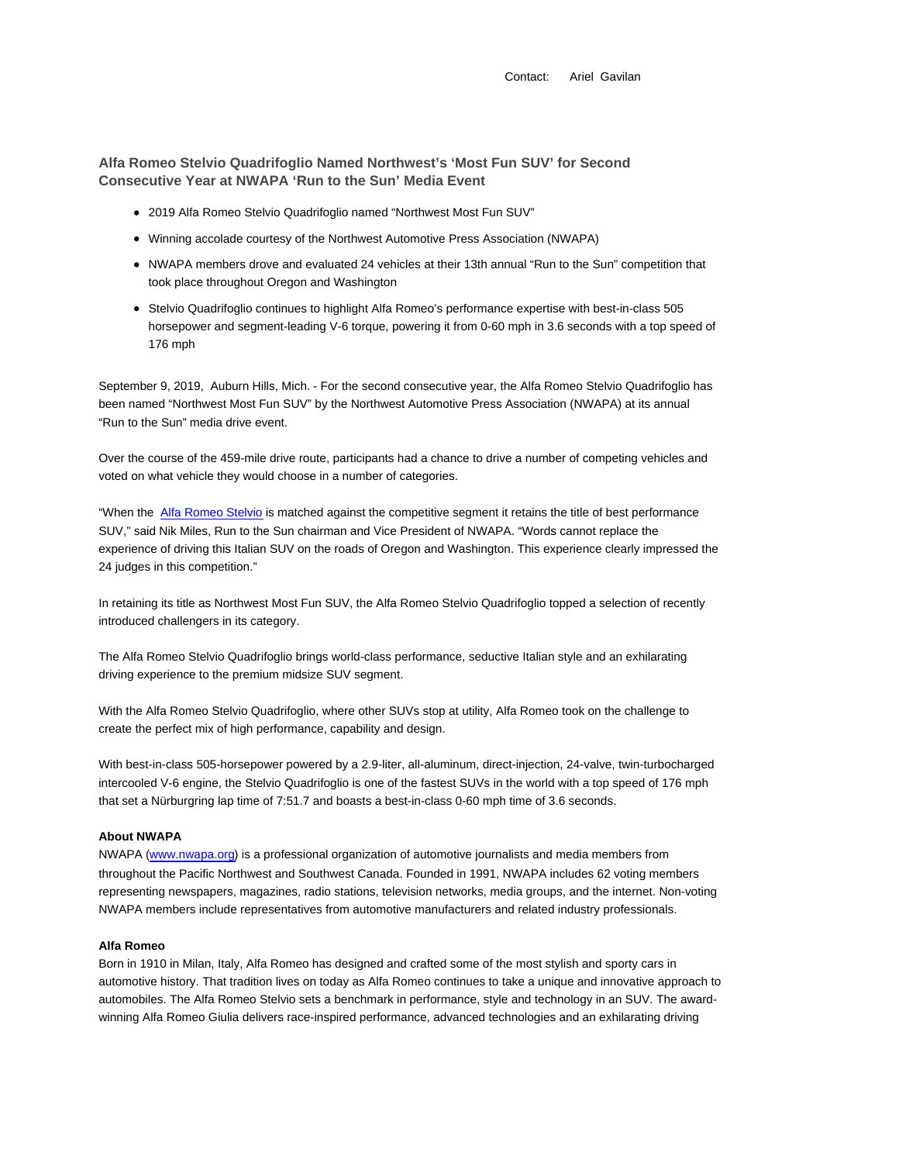Contact: Ariel Gavilan

**Alfa Romeo Stelvio Quadrifoglio Named Northwest's 'Most Fun SUV' for Second Consecutive Year at NWAPA 'Run to the Sun' Media Event**

- 2019 Alfa Romeo Stelvio Quadrifoglio named "Northwest Most Fun SUV"
- Winning accolade courtesy of the Northwest Automotive Press Association (NWAPA)
- NWAPA members drove and evaluated 24 vehicles at their 13th annual "Run to the Sun" competition that took place throughout Oregon and Washington
- Stelvio Quadrifoglio continues to highlight Alfa Romeo's performance expertise with best-in-class 505 horsepower and segment-leading V-6 torque, powering it from 0-60 mph in 3.6 seconds with a top speed of 176 mph

September 9, 2019, Auburn Hills, Mich. - For the second consecutive year, the Alfa Romeo Stelvio Quadrifoglio has been named "Northwest Most Fun SUV" by the Northwest Automotive Press Association (NWAPA) at its annual "Run to the Sun" media drive event.

Over the course of the 459-mile drive route, participants had a chance to drive a number of competing vehicles and voted on what vehicle they would choose in a number of categories.

"When the Alfa Romeo Stelvio is matched against the competitive segment it retains the title of best performance SUV," said Nik Miles, Run to the Sun chairman and Vice President of NWAPA. "Words cannot replace the experience of driving this Italian SUV on the roads of Oregon and Washington. This experience clearly impressed the 24 judges in this competition."

In retaining its title as Northwest Most Fun SUV, the Alfa Romeo Stelvio Quadrifoglio topped a selection of recently introduced challengers in its category.

The Alfa Romeo Stelvio Quadrifoglio brings world-class performance, seductive Italian style and an exhilarating driving experience to the premium midsize SUV segment.

With the Alfa Romeo Stelvio Quadrifoglio, where other SUVs stop at utility, Alfa Romeo took on the challenge to create the perfect mix of high performance, capability and design.

With best-in-class 505-horsepower powered by a 2.9-liter, all-aluminum, direct-injection, 24-valve, twin-turbocharged intercooled V-6 engine, the Stelvio Quadrifoglio is one of the fastest SUVs in the world with a top speed of 176 mph that set a Nürburgring lap time of 7:51.7 and boasts a best-in-class 0-60 mph time of 3.6 seconds.

## **About NWAPA**

NWAPA (www.nwapa.org) is a professional organization of automotive journalists and media members from throughout the Pacific Northwest and Southwest Canada. Founded in 1991, NWAPA includes 62 voting members representing newspapers, magazines, radio stations, television networks, media groups, and the internet. Non-voting NWAPA members include representatives from automotive manufacturers and related industry professionals.

## **Alfa Romeo**

Born in 1910 in Milan, Italy, Alfa Romeo has designed and crafted some of the most stylish and sporty cars in automotive history. That tradition lives on today as Alfa Romeo continues to take a unique and innovative approach to automobiles. The Alfa Romeo Stelvio sets a benchmark in performance, style and technology in an SUV. The awardwinning Alfa Romeo Giulia delivers race-inspired performance, advanced technologies and an exhilarating driving